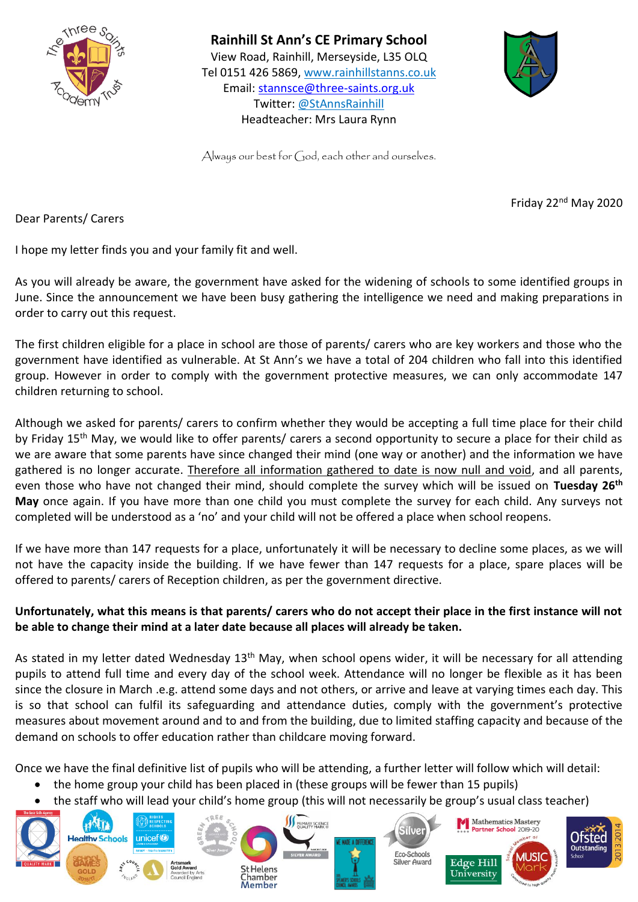

**Rainhill St Ann's CE Primary School**  View Road, Rainhill, Merseyside, L35 OLQ Tel 0151 426 5869, [www.rainhillstanns.co.uk](http://www.rainhillstanns.co.uk/) Email: [stannsce@three-saints.org.uk](mailto:stannsce@three-saints.org.uk) Twitter: @StAnnsRainhill Headteacher: Mrs Laura Rynn



Always our best for God, each other and ourselves.

Friday 22nd May 2020

Dear Parents/ Carers

I hope my letter finds you and your family fit and well.

As you will already be aware, the government have asked for the widening of schools to some identified groups in June. Since the announcement we have been busy gathering the intelligence we need and making preparations in order to carry out this request.

The first children eligible for a place in school are those of parents/ carers who are key workers and those who the government have identified as vulnerable. At St Ann's we have a total of 204 children who fall into this identified group. However in order to comply with the government protective measures, we can only accommodate 147 children returning to school.

Although we asked for parents/ carers to confirm whether they would be accepting a full time place for their child by Friday 15<sup>th</sup> May, we would like to offer parents/ carers a second opportunity to secure a place for their child as we are aware that some parents have since changed their mind (one way or another) and the information we have gathered is no longer accurate. Therefore all information gathered to date is now null and void, and all parents, even those who have not changed their mind, should complete the survey which will be issued on **Tuesday 26th May** once again. If you have more than one child you must complete the survey for each child. Any surveys not completed will be understood as a 'no' and your child will not be offered a place when school reopens.

If we have more than 147 requests for a place, unfortunately it will be necessary to decline some places, as we will not have the capacity inside the building. If we have fewer than 147 requests for a place, spare places will be offered to parents/ carers of Reception children, as per the government directive.

## **Unfortunately, what this means is that parents/ carers who do not accept their place in the first instance will not be able to change their mind at a later date because all places will already be taken.**

As stated in my letter dated Wednesday 13<sup>th</sup> May, when school opens wider, it will be necessary for all attending pupils to attend full time and every day of the school week. Attendance will no longer be flexible as it has been since the closure in March .e.g. attend some days and not others, or arrive and leave at varying times each day. This is so that school can fulfil its safeguarding and attendance duties, comply with the government's protective measures about movement around and to and from the building, due to limited staffing capacity and because of the demand on schools to offer education rather than childcare moving forward.

Once we have the final definitive list of pupils who will be attending, a further letter will follow which will detail:

- the home group your child has been placed in (these groups will be fewer than 15 pupils)
- the staff who will lead your child's home group (this will not necessarily be group's usual class teacher)